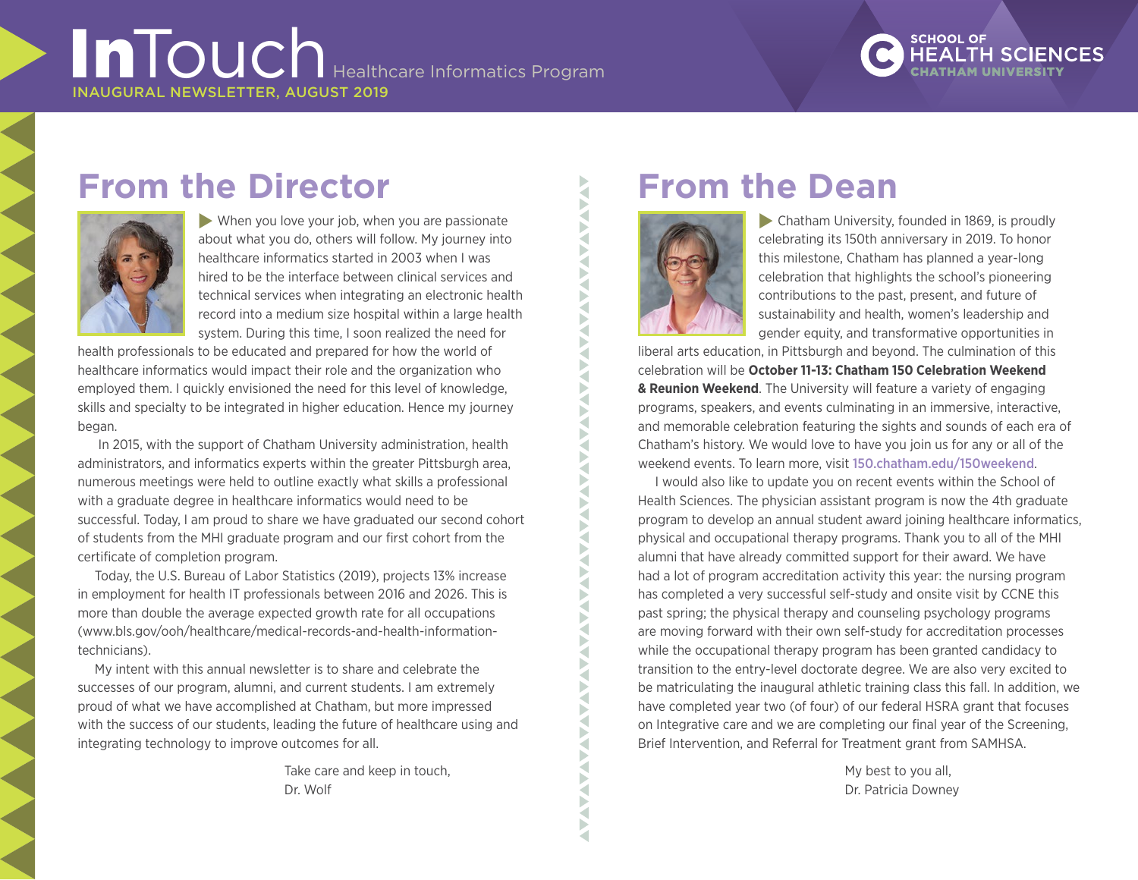# InTouch Healthcare Informatics Program INAUGURAL NEWSLETTER, AUGUST 2019

# **SCHOOL OF**

# **From the Director**



 $\blacktriangleright$  When you love your job, when you are passionate about what you do, others will follow. My journey into healthcare informatics started in 2003 when I was hired to be the interface between clinical services and technical services when integrating an electronic health record into a medium size hospital within a large health system. During this time, I soon realized the need for

health professionals to be educated and prepared for how the world of healthcare informatics would impact their role and the organization who employed them. I quickly envisioned the need for this level of knowledge, skills and specialty to be integrated in higher education. Hence my journey began.

In 2015, with the support of Chatham University administration, health administrators, and informatics experts within the greater Pittsburgh area, numerous meetings were held to outline exactly what skills a professional with a graduate degree in healthcare informatics would need to be successful. Today, I am proud to share we have graduated our second cohort of students from the MHI graduate program and our first cohort from the certificate of completion program.

Today, the U.S. Bureau of Labor Statistics (2019), projects 13% increase in employment for health IT professionals between 2016 and 2026. This is more than double the average expected growth rate for all occupations ([www.bls.gov/ooh/healthcare/medical-records-and-health-information](https://www.bls.gov/ooh/healthcare/medical-records-and-health-information-technicians.htm)[technicians](https://www.bls.gov/ooh/healthcare/medical-records-and-health-information-technicians.htm)).

My intent with this annual newsletter is to share and celebrate the successes of our program, alumni, and current students. I am extremely proud of what we have accomplished at Chatham, but more impressed with the success of our students, leading the future of healthcare using and integrating technology to improve outcomes for all.

> Take care and keep in touch, Dr. Wolf

# **From the Dean**



₹ Þ ₹ Б ₹ Þ ₹ Þ ₹ Š ь a

₹ D ₹ Þ

 $\blacktriangleright$  Chatham University, founded in 1869, is proudly celebrating its 150th anniversary in 2019. To honor this milestone, Chatham has planned a year-long celebration that highlights the school's pioneering contributions to the past, present, and future of sustainability and health, women's leadership and gender equity, and transformative opportunities in

liberal arts education, in Pittsburgh and beyond. The culmination of this celebration will be **October 11-13: Chatham 150 Celebration Weekend & Reunion Weekend**. The University will feature a variety of engaging programs, speakers, and events culminating in an immersive, interactive, and memorable celebration featuring the sights and sounds of each era of Chatham's history. We would love to have you join us for any or all of the weekend events. To learn more, visit 150.chatham.edu/150weekend.

I would also like to update you on recent events within the School of Health Sciences. The physician assistant program is now the 4th graduate program to develop an annual student award joining healthcare informatics, physical and occupational therapy programs. Thank you to all of the MHI alumni that have already committed support for their award. We have had a lot of program accreditation activity this year: the nursing program has completed a very successful self-study and onsite visit by CCNE this past spring; the physical therapy and counseling psychology programs are moving forward with their own self-study for accreditation processes while the occupational therapy program has been granted candidacy to transition to the entry-level doctorate degree. We are also very excited to be matriculating the inaugural athletic training class this fall. In addition, we have completed year two (of four) of our federal HSRA grant that focuses on Integrative care and we are completing our final year of the Screening, Brief Intervention, and Referral for Treatment grant from SAMHSA.

> My best to you all, Dr. Patricia Downey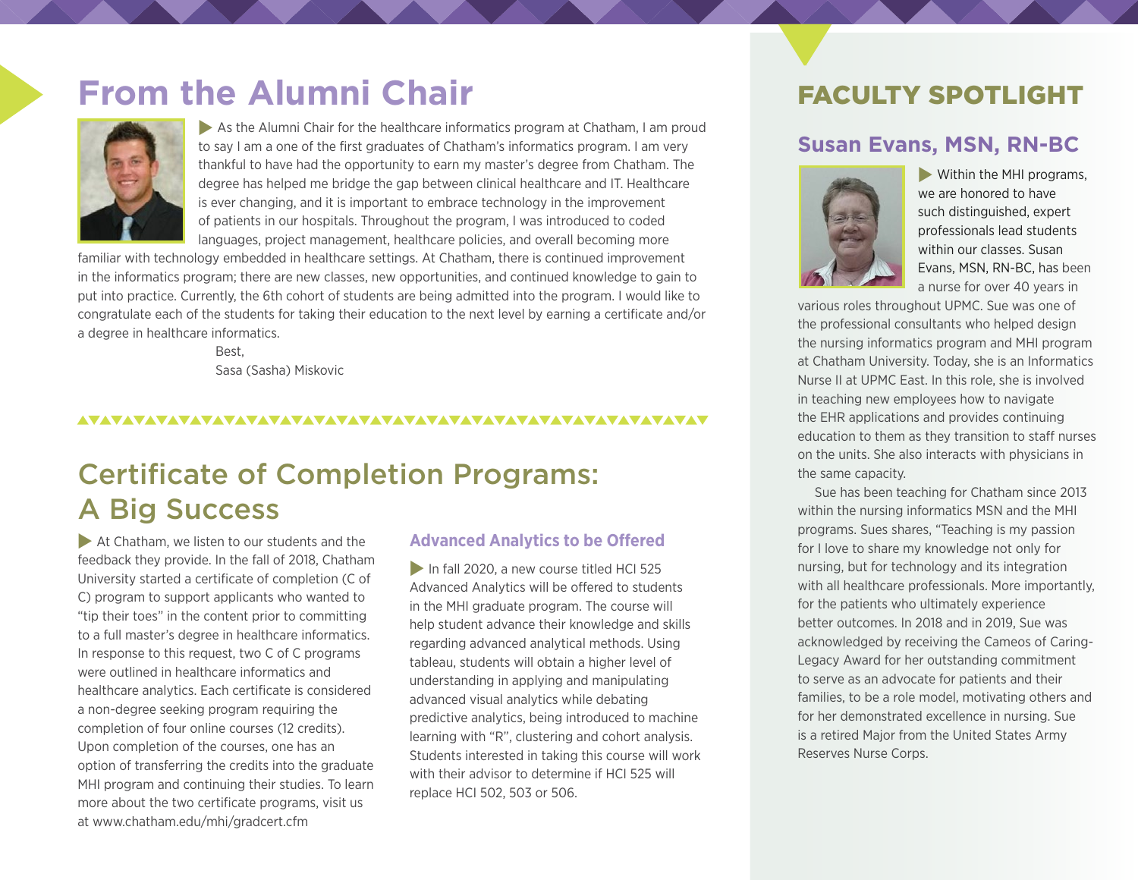# **From the Alumni Chair**



As the Alumni Chair for the healthcare informatics program at Chatham, I am proud to say I am a one of the first graduates of Chatham's informatics program. I am very thankful to have had the opportunity to earn my master's degree from Chatham. The degree has helped me bridge the gap between clinical healthcare and IT. Healthcare is ever changing, and it is important to embrace technology in the improvement of patients in our hospitals. Throughout the program, I was introduced to coded languages, project management, healthcare policies, and overall becoming more

familiar with technology embedded in healthcare settings. At Chatham, there is continued improvement in the informatics program; there are new classes, new opportunities, and continued knowledge to gain to put into practice. Currently, the 6th cohort of students are being admitted into the program. I would like to congratulate each of the students for taking their education to the next level by earning a certificate and/or a degree in healthcare informatics.

> Best, Sasa (Sasha) Miskovic

#### 

# Certificate of Completion Programs: A Big Success

 $\blacktriangleright$  At Chatham, we listen to our students and the feedback they provide. In the fall of 2018, Chatham University started a certificate of completion (C of C) program to support applicants who wanted to "tip their toes" in the content prior to committing to a full master's degree in healthcare informatics. In response to this request, two C of C programs were outlined in healthcare informatics and healthcare analytics. Each certificate is considered a non-degree seeking program requiring the completion of four online courses (12 credits). Upon completion of the courses, one has an option of transferring the credits into the graduate MHI program and continuing their studies. To learn more about the two certificate programs, visit us at [www.chatham.edu/mhi/gradcert.cfm](https://www.chatham.edu/mhi/gradcert.cfm)

#### **Advanced Analytics to be Offered**

In fall 2020, a new course titled HCI 525 Advanced Analytics will be offered to students in the MHI graduate program. The course will help student advance their knowledge and skills regarding advanced analytical methods. Using tableau, students will obtain a higher level of understanding in applying and manipulating advanced visual analytics while debating predictive analytics, being introduced to machine learning with "R", clustering and cohort analysis. Students interested in taking this course will work with their advisor to determine if HCI 525 will replace HCI 502, 503 or 506.

### FACULTY SPOTLIGHT

### **Susan Evans, MSN, RN-BC**



 $\blacktriangleright$  Within the MHI programs, we are honored to have such distinguished, expert professionals lead students within our classes. Susan Evans, MSN, RN-BC, has been a nurse for over 40 years in

various roles throughout UPMC. Sue was one of the professional consultants who helped design the nursing informatics program and MHI program at Chatham University. Today, she is an Informatics Nurse II at UPMC East. In this role, she is involved in teaching new employees how to navigate the EHR applications and provides continuing education to them as they transition to staff nurses on the units. She also interacts with physicians in the same capacity.

Sue has been teaching for Chatham since 2013 within the nursing informatics MSN and the MHI programs. Sues shares, "Teaching is my passion for I love to share my knowledge not only for nursing, but for technology and its integration with all healthcare professionals. More importantly, for the patients who ultimately experience better outcomes. In 2018 and in 2019, Sue was acknowledged by receiving the Cameos of Caring-Legacy Award for her outstanding commitment to serve as an advocate for patients and their families, to be a role model, motivating others and for her demonstrated excellence in nursing. Sue is a retired Major from the United States Army Reserves Nurse Corps.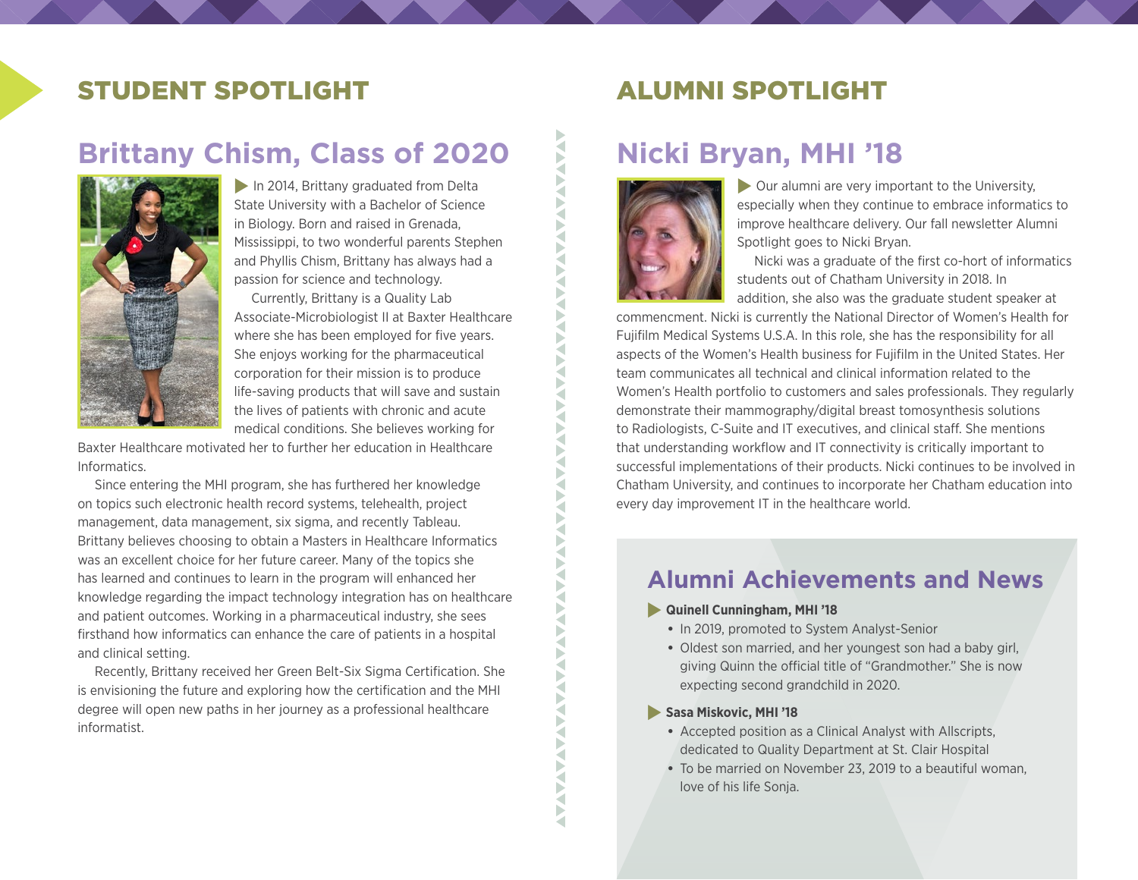## STUDENT SPOTLIGHT ALUMNI SPOTLIGHT

# **Brittany Chism, Class of 2020**



 $\blacktriangleright$  In 2014, Brittany graduated from Delta State University with a Bachelor of Science in Biology. Born and raised in Grenada, Mississippi, to two wonderful parents Stephen and Phyllis Chism, Brittany has always had a passion for science and technology.

Currently, Brittany is a Quality Lab Associate-Microbiologist II at Baxter Healthcare where she has been employed for five years. She enjoys working for the pharmaceutical corporation for their mission is to produce life-saving products that will save and sustain the lives of patients with chronic and acute medical conditions. She believes working for

Baxter Healthcare motivated her to further her education in Healthcare Informatics.

Since entering the MHI program, she has furthered her knowledge on topics such electronic health record systems, telehealth, project management, data management, six sigma, and recently Tableau. Brittany believes choosing to obtain a Masters in Healthcare Informatics was an excellent choice for her future career. Many of the topics she has learned and continues to learn in the program will enhanced her knowledge regarding the impact technology integration has on healthcare and patient outcomes. Working in a pharmaceutical industry, she sees firsthand how informatics can enhance the care of patients in a hospital and clinical setting.

Recently, Brittany received her Green Belt-Six Sigma Certification. She is envisioning the future and exploring how the certification and the MHI degree will open new paths in her journey as a professional healthcare informatist.

## **Nicki Bryan, MHI '18**



**NAN** F ₹ Ř

**AAAA** 

Š Ř F ₹ Þ ₹ Б ₹ ₹

> D Þ ¥ Þ ₹ a ь Þ ₹

> ₹ D ⊲ D ₹ Б ₹ Þ ∢ Þ

**AVAVANTAVA** 

F

 $\triangleright$  Our alumni are very important to the University, especially when they continue to embrace informatics to improve healthcare delivery. Our fall newsletter Alumni Spotlight goes to Nicki Bryan.

Nicki was a graduate of the first co-hort of informatics students out of Chatham University in 2018. In addition, she also was the graduate student speaker at

commencment. Nicki is currently the National Director of Women's Health for Fujifilm Medical Systems U.S.A. In this role, she has the responsibility for all aspects of the Women's Health business for Fujifilm in the United States. Her team communicates all technical and clinical information related to the Women's Health portfolio to customers and sales professionals. They regularly demonstrate their mammography/digital breast tomosynthesis solutions to Radiologists, C-Suite and IT executives, and clinical staff. She mentions that understanding workflow and IT connectivity is critically important to successful implementations of their products. Nicki continues to be involved in Chatham University, and continues to incorporate her Chatham education into every day improvement IT in the healthcare world.

### **Alumni Achievements and News**

#### **Reading Cunningham, MHI '18**

- **•** In 2019, promoted to System Analyst-Senior
- **•** Oldest son married, and her youngest son had a baby girl, giving Quinn the official title of "Grandmother." She is now expecting second grandchild in 2020.

#### **Sasa Miskovic, MHI '18**

- **•** Accepted position as a Clinical Analyst with Allscripts, dedicated to Quality Department at St. Clair Hospital
- **•** To be married on November 23, 2019 to a beautiful woman, love of his life Sonja.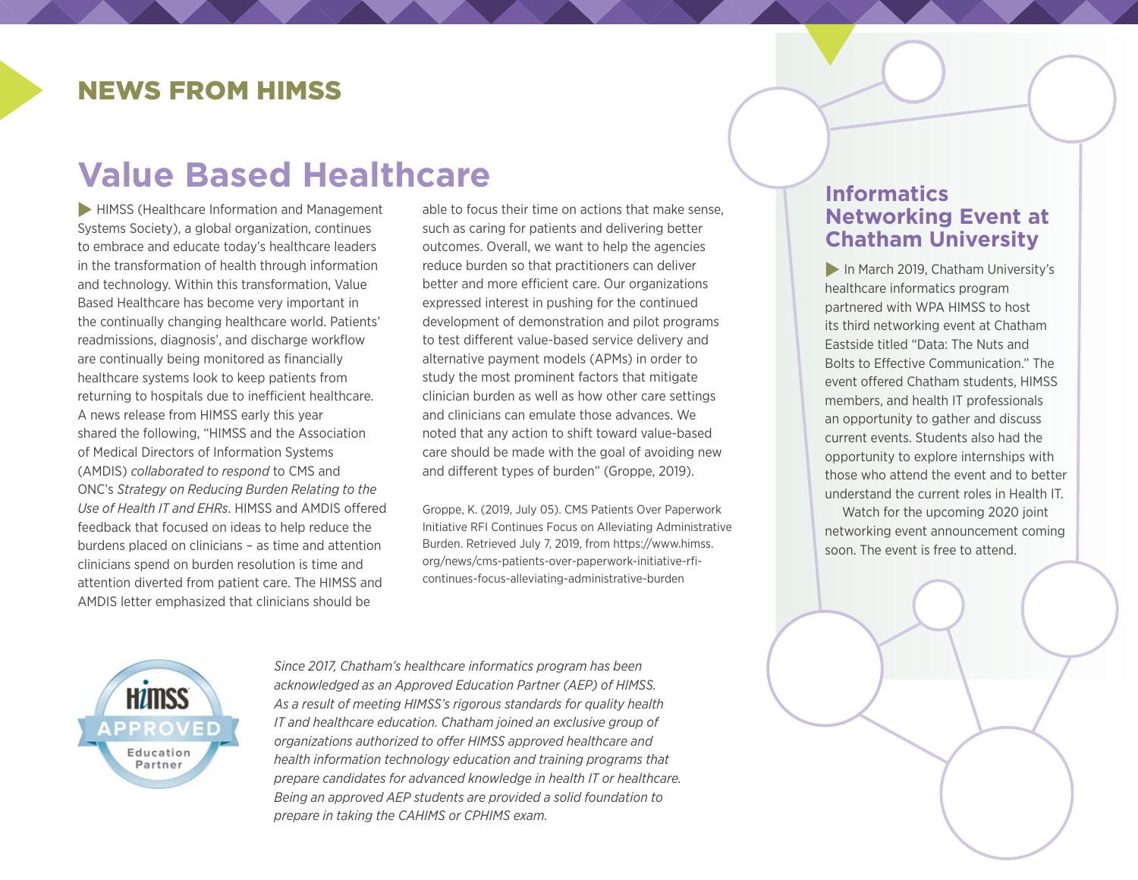### NEWS FROM HIMSS

# **Value Based Healthcare**

**FIMSS (Healthcare Information and Management** Systems Society), a global organization, continues to embrace and educate today's healthcare leaders in the transformation of health through information and technology. Within this transformation, Value Based Healthcare has become very important in the continually changing healthcare world. Patients' readmissions, diagnosis', and discharge workflow are continually being monitored as financially healthcare systems look to keep patients from returning to hospitals due to inefficient healthcare. A news release from HIMSS early this year shared the following, "HIMSS and the Association of Medical Directors of Information Systems (AMDIS) *[collaborated to respond](https://www.himss.org/sites/himssorg/files/u397813/HIMSS-AMDIS-Comment-Letter-on-HHS-Burden-Reduction-Strategy-Report.pdf)* to CMS and ONC's *[Strategy on Reducing Burden Relating to the](https://www.healthit.gov/topic/usability-and-provider-burden/strategy-reducing-burden-relating-use-health-it-and-ehrs)  [Use of Health IT and EHRs](https://www.healthit.gov/topic/usability-and-provider-burden/strategy-reducing-burden-relating-use-health-it-and-ehrs)*. HIMSS and AMDIS offered feedback that focused on ideas to help reduce the burdens placed on clinicians – as time and attention clinicians spend on burden resolution is time and attention diverted from patient care. The HIMSS and AMDIS letter emphasized that clinicians should be

able to focus their time on actions that make sense, such as caring for patients and delivering better outcomes. Overall, we want to help the agencies reduce burden so that practitioners can deliver better and more efficient care. Our organizations expressed interest in pushing for the continued development of demonstration and pilot programs to test different value-based service delivery and alternative payment models (APMs) in order to study the most prominent factors that mitigate clinician burden as well as how other care settings and clinicians can emulate those advances. We noted that any action to shift toward value-based care should be made with the goal of avoiding new and different types of burden" (Groppe, 2019).

Groppe, K. (2019, July 05). CMS Patients Over Paperwork Initiative RFI Continues Focus on Alleviating Administrative Burden. Retrieved July 7, 2019, from https://www.himss. org/news/cms-patients-over-paperwork-initiative-rficontinues-focus-alleviating-administrative-burden

### **Informatics Networking Event at Chatham University**

In March 2019, Chatham University's healthcare informatics program partnered with WPA HIMSS to host its third networking event at Chatham Eastside titled "Data: The Nuts and Bolts to Effective Communication." The event offered Chatham students, HIMSS members, and health IT professionals an opportunity to gather and discuss current events. Students also had the opportunity to explore internships with those who attend the event and to better understand the current roles in Health IT.

Watch for the upcoming 2020 joint networking event announcement coming soon. The event is free to attend.



*Since 2017, Chatham's healthcare informatics program has been acknowledged as an Approved Education Partner (AEP) of HIMSS. As a result of meeting HIMSS's rigorous standards for quality health IT and healthcare education. Chatham joined an exclusive group of organizations authorized to offer HIMSS approved healthcare and health information technology education and training programs that prepare candidates for advanced knowledge in health IT or healthcare. Being an approved AEP students are provided a solid foundation to prepare in taking the [CAHIMS](http://www.himss.org/health-it-certification/cahims) or [CPHIMS](http://www.himss.org/health-it-certification/cphims) exam.*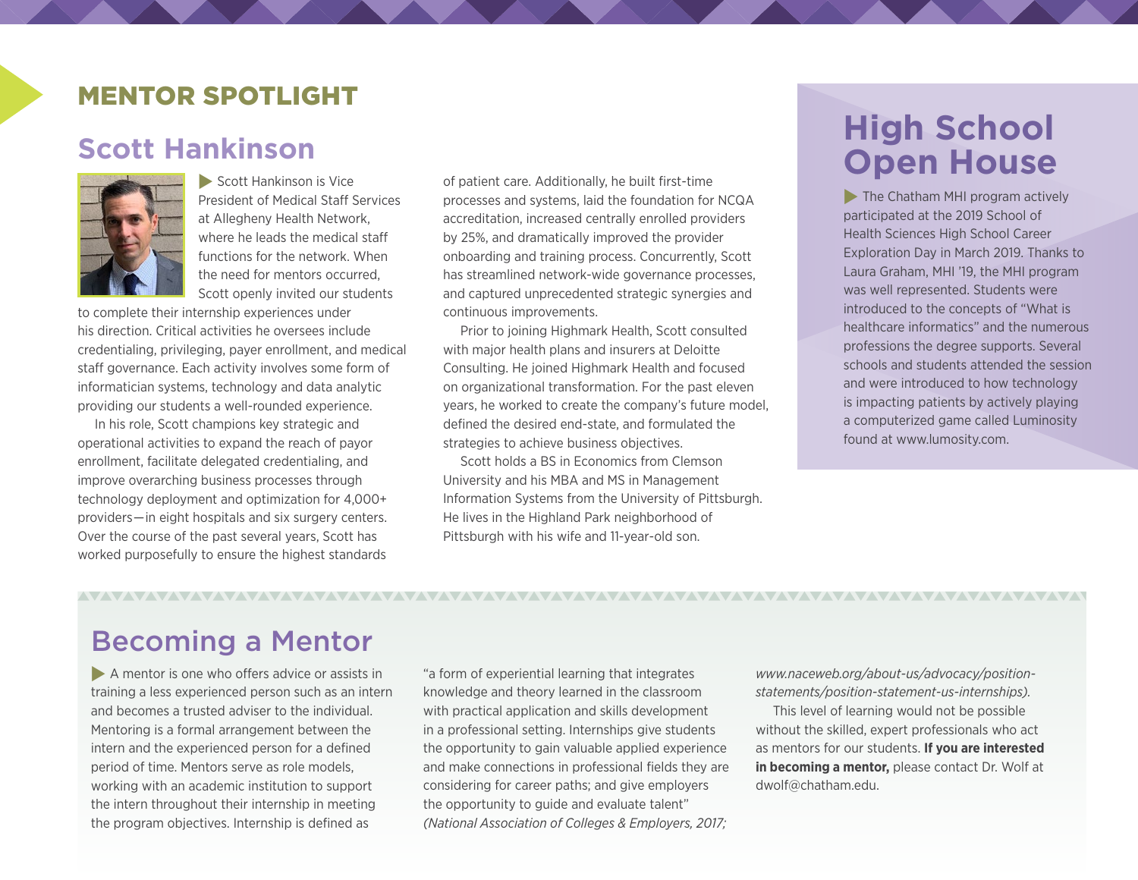### MENTOR SPOTLIGHT

### **Scott Hankinson**



 $\blacktriangleright$  Scott Hankinson is Vice President of Medical Staff Services at Allegheny Health Network, where he leads the medical staff functions for the network. When the need for mentors occurred, Scott openly invited our students

to complete their internship experiences under his direction. Critical activities he oversees include credentialing, privileging, payer enrollment, and medical staff governance. Each activity involves some form of informatician systems, technology and data analytic providing our students a well-rounded experience.

In his role, Scott champions key strategic and operational activities to expand the reach of payor enrollment, facilitate delegated credentialing, and improve overarching business processes through technology deployment and optimization for 4,000+ providers—in eight hospitals and six surgery centers. Over the course of the past several years, Scott has worked purposefully to ensure the highest standards

of patient care. Additionally, he built first-time processes and systems, laid the foundation for NCQA accreditation, increased centrally enrolled providers by 25%, and dramatically improved the provider onboarding and training process. Concurrently, Scott has streamlined network-wide governance processes, and captured unprecedented strategic synergies and continuous improvements.

Prior to joining Highmark Health, Scott consulted with major health plans and insurers at Deloitte Consulting. He joined Highmark Health and focused on organizational transformation. For the past eleven years, he worked to create the company's future model, defined the desired end-state, and formulated the strategies to achieve business objectives.

Scott holds a BS in Economics from Clemson University and his MBA and MS in Management Information Systems from the University of Pittsburgh. He lives in the Highland Park neighborhood of Pittsburgh with his wife and 11-year-old son.

# **High School Open House**

 $\blacktriangleright$  The Chatham MHI program actively participated at the 2019 School of Health Sciences High School Career Exploration Day in March 2019. Thanks to Laura Graham, MHI '19, the MHI program was well represented. Students were introduced to the concepts of "What is healthcare informatics" and the numerous professions the degree supports. Several schools and students attended the session and were introduced to how technology is impacting patients by actively playing a computerized game called Luminosity found at [www.lumosity.com](https://www.lumosity.com/).

# Becoming a Mentor

 $\blacktriangleright$  A mentor is one who offers advice or assists in training a less experienced person such as an intern and becomes a trusted adviser to the individual. Mentoring is a formal arrangement between the intern and the experienced person for a defined period of time. Mentors serve as role models, working with an academic institution to support the intern throughout their internship in meeting the program objectives. Internship is defined as

"a form of experiential learning that integrates knowledge and theory learned in the classroom with practical application and skills development in a professional setting. Internships give students the opportunity to gain valuable applied experience and make connections in professional fields they are considering for career paths; and give employers the opportunity to guide and evaluate talent" *(National Association of Colleges & Employers, 2017;* 

*[www.naceweb.org/about-us/advocacy/position](http://www.naceweb.org/about-us/advocacy/position-statements/position-statement-us-internships/)[statements/position-statement-us-internships\)](http://www.naceweb.org/about-us/advocacy/position-statements/position-statement-us-internships/).*

This level of learning would not be possible without the skilled, expert professionals who act as mentors for our students. **If you are interested in becoming a mentor,** please contact Dr. Wolf at dwolf@chatham.edu.